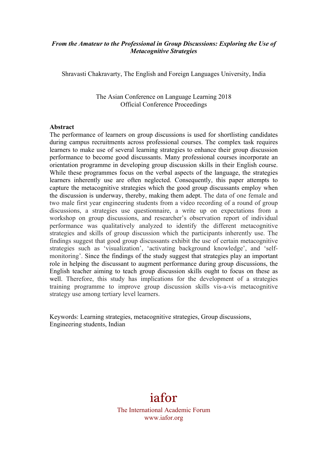## *From the Amateur to the Professional in Group Discussions: Exploring the Use of Metacognitive Strategies*

Shravasti Chakravarty, The English and Foreign Languages University, India

The Asian Conference on Language Learning 2018 Official Conference Proceedings

#### **Abstract**

The performance of learners on group discussions is used for shortlisting candidates during campus recruitments across professional courses. The complex task requires learners to make use of several learning strategies to enhance their group discussion performance to become good discussants. Many professional courses incorporate an orientation programme in developing group discussion skills in their English course. While these programmes focus on the verbal aspects of the language, the strategies learners inherently use are often neglected. Consequently, this paper attempts to capture the metacognitive strategies which the good group discussants employ when the discussion is underway, thereby, making them adept. The data of one female and two male first year engineering students from a video recording of a round of group discussions, a strategies use questionnaire, a write up on expectations from a workshop on group discussions, and researcher's observation report of individual performance was qualitatively analyzed to identify the different metacognitive strategies and skills of group discussion which the participants inherently use. The findings suggest that good group discussants exhibit the use of certain metacognitive strategies such as 'visualization', 'activating background knowledge', and 'selfmonitoring'. Since the findings of the study suggest that strategies play an important role in helping the discussant to augment performance during group discussions, the English teacher aiming to teach group discussion skills ought to focus on these as well. Therefore, this study has implications for the development of a strategies training programme to improve group discussion skills vis-a-vis metacognitive strategy use among tertiary level learners.

Keywords: Learning strategies, metacognitive strategies, Group discussions, Engineering students, Indian

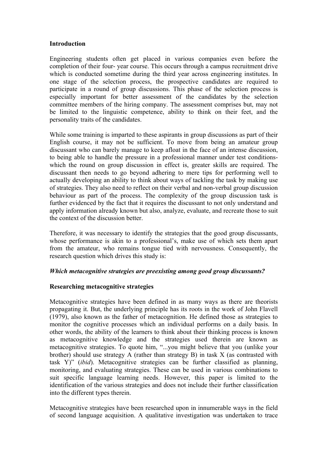### **Introduction**

Engineering students often get placed in various companies even before the completion of their four- year course. This occurs through a campus recruitment drive which is conducted sometime during the third year across engineering institutes. In one stage of the selection process, the prospective candidates are required to participate in a round of group discussions. This phase of the selection process is especially important for better assessment of the candidates by the selection committee members of the hiring company. The assessment comprises but, may not be limited to the linguistic competence, ability to think on their feet, and the personality traits of the candidates.

While some training is imparted to these aspirants in group discussions as part of their English course, it may not be sufficient. To move from being an amateur group discussant who can barely manage to keep afloat in the face of an intense discussion, to being able to handle the pressure in a professional manner under test conditionswhich the round on group discussion in effect is, greater skills are required. The discussant then needs to go beyond adhering to mere tips for performing well to actually developing an ability to think about ways of tackling the task by making use of strategies. They also need to reflect on their verbal and non-verbal group discussion behaviour as part of the process. The complexity of the group discussion task is further evidenced by the fact that it requires the discussant to not only understand and apply information already known but also, analyze, evaluate, and recreate those to suit the context of the discussion better.

Therefore, it was necessary to identify the strategies that the good group discussants, whose performance is akin to a professional's, make use of which sets them apart from the amateur, who remains tongue tied with nervousness. Consequently, the research question which drives this study is:

## *Which metacognitive strategies are preexisting among good group discussants?*

### **Researching metacognitive strategies**

Metacognitive strategies have been defined in as many ways as there are theorists propagating it. But, the underlying principle has its roots in the work of John Flavell (1979), also known as the father of metacognition. He defined those as strategies to monitor the cognitive processes which an individual performs on a daily basis. In other words, the ability of the learners to think about their thinking process is known as metacognitive knowledge and the strategies used therein are known as metacognitive strategies. To quote him, "...you might believe that you (unlike your brother) should use strategy A (rather than strategy B) in task X (as contrasted with task Y)" (*ibid*). Metacognitive strategies can be further classified as planning, monitoring, and evaluating strategies. These can be used in various combinations to suit specific language learning needs. However, this paper is limited to the identification of the various strategies and does not include their further classification into the different types therein.

Metacognitive strategies have been researched upon in innumerable ways in the field of second language acquisition. A qualitative investigation was undertaken to trace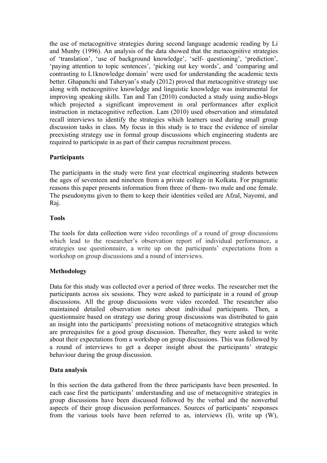the use of metacognitive strategies during second language academic reading by Li and Munby (1996). An analysis of the data showed that the metacognitive strategies of 'translation', 'use of background knowledge', 'self- questioning', 'prediction', 'paying attention to topic sentences', 'picking out key words', and 'comparing and contrasting to L1knowledge domain' were used for understanding the academic texts better. Ghapanchi and Taheryan's study (2012) proved that metacognitive strategy use along with metacognitive knowledge and linguistic knowledge was instrumental for improving speaking skills. Tan and Tan (2010) conducted a study using audio-blogs which projected a significant improvement in oral performances after explicit instruction in metacognitive reflection. Lam (2010) used observation and stimulated recall interviews to identify the strategies which learners used during small group discussion tasks in class. My focus in this study is to trace the evidence of similar preexisting strategy use in formal group discussions which engineering students are required to participate in as part of their campus recruitment process.

## **Participants**

The participants in the study were first year electrical engineering students between the ages of seventeen and nineteen from a private college in Kolkata. For pragmatic reasons this paper presents information from three of them- two male and one female. The pseudonyms given to them to keep their identities veiled are Afzal, Nayomi, and Raj.

### **Tools**

The tools for data collection were video recordings of a round of group discussions which lead to the researcher's observation report of individual performance, a strategies use questionnaire, a write up on the participants' expectations from a workshop on group discussions and a round of interviews.

## **Methodology**

Data for this study was collected over a period of three weeks. The researcher met the participants across six sessions. They were asked to participate in a round of group discussions. All the group discussions were video recorded. The researcher also maintained detailed observation notes about individual participants. Then, a questionnaire based on strategy use during group discussions was distributed to gain an insight into the participants' preexisting notions of metacognitive strategies which are prerequisites for a good group discussion. Thereafter, they were asked to write about their expectations from a workshop on group discussions. This was followed by a round of interviews to get a deeper insight about the participants' strategic behaviour during the group discussion.

### **Data analysis**

In this section the data gathered from the three participants have been presented. In each case first the participants' understanding and use of metacognitive strategies in group discussions have been discussed followed by the verbal and the nonverbal aspects of their group discussion performances. Sources of participants' responses from the various tools have been referred to as, interviews (I), write up (W),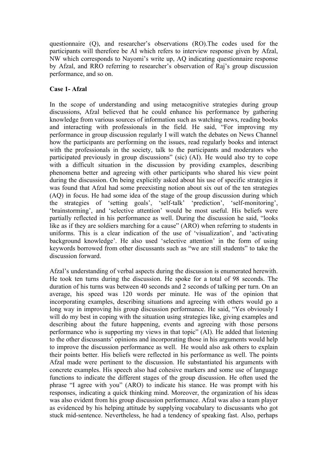questionnaire (Q), and researcher's observations (RO).The codes used for the participants will therefore be AI which refers to interview response given by Afzal, NW which corresponds to Nayomi's write up, AQ indicating questionnaire response by Afzal, and RRO referring to researcher's observation of Raj's group discussion performance, and so on.

## **Case 1- Afzal**

In the scope of understanding and using metacognitive strategies during group discussions, Afzal believed that he could enhance his performance by gathering knowledge from various sources of information such as watching news, reading books and interacting with professionals in the field. He said, "For improving my performance in group discussion regularly I will watch the debates on News Channel how the participants are performing on the issues, read regularly books and interact with the professionals in the society, talk to the participants and moderators who participated previously in group discussions" (sic) (AI). He would also try to cope with a difficult situation in the discussion by providing examples, describing phenomena better and agreeing with other participants who shared his view point during the discussion. On being explicitly asked about his use of specific strategies it was found that Afzal had some preexisting notion about six out of the ten strategies (AQ) in focus. He had some idea of the stage of the group discussion during which the strategies of 'setting goals', 'self-talk' 'prediction', 'self-monitoring', 'brainstorming', and 'selective attention' would be most useful. His beliefs were partially reflected in his performance as well. During the discussion he said, "looks like as if they are soldiers marching for a cause" (ARO) when referring to students in uniforms. This is a clear indication of the use of 'visualization', and 'activating background knowledge'. He also used 'selective attention' in the form of using keywords borrowed from other discussants such as "we are still students" to take the discussion forward.

Afzal's understanding of verbal aspects during the discussion is enumerated herewith. He took ten turns during the discussion. He spoke for a total of 98 seconds. The duration of his turns was between 40 seconds and 2 seconds of talking per turn. On an average, his speed was 120 words per minute. He was of the opinion that incorporating examples, describing situations and agreeing with others would go a long way in improving his group discussion performance. He said, "Yes obviously I will do my best in coping with the situation using strategies like, giving examples and describing about the future happening, events and agreeing with those persons performance who is supporting my views in that topic" (AI). He added that listening to the other discussants' opinions and incorporating those in his arguments would help to improve the discussion performance as well. He would also ask others to explain their points better. His beliefs were reflected in his performance as well. The points Afzal made were pertinent to the discussion. He substantiated his arguments with concrete examples. His speech also had cohesive markers and some use of language functions to indicate the different stages of the group discussion. He often used the phrase "I agree with you" (ARO) to indicate his stance. He was prompt with his responses, indicating a quick thinking mind. Moreover, the organization of his ideas was also evident from his group discussion performance. Afzal was also a team player as evidenced by his helping attitude by supplying vocabulary to discussants who got stuck mid-sentence. Nevertheless, he had a tendency of speaking fast. Also, perhaps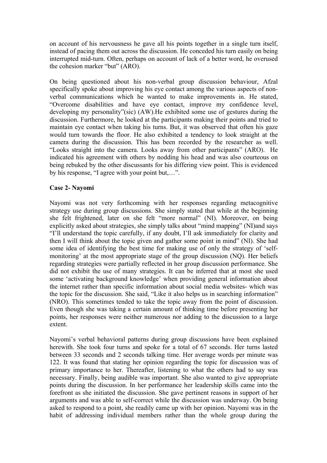on account of his nervousness he gave all his points together in a single turn itself, instead of pacing them out across the discussion. He conceded his turn easily on being interrupted mid-turn. Often, perhaps on account of lack of a better word, he overused the cohesion marker "but" (ARO).

On being questioned about his non-verbal group discussion behaviour, Afzal specifically spoke about improving his eye contact among the various aspects of nonverbal communications which he wanted to make improvements in. He stated, "Overcome disabilities and have eye contact, improve my confidence level, developing my personality"(sic) (AW).He exhibited some use of gestures during the discussion. Furthermore, he looked at the participants making their points and tried to maintain eye contact when taking his turns. But, it was observed that often his gaze would turn towards the floor. He also exhibited a tendency to look straight at the camera during the discussion. This has been recorded by the researcher as well. "Looks straight into the camera. Looks away from other participants" (ARO). He indicated his agreement with others by nodding his head and was also courteous on being rebuked by the other discussants for his differing view point. This is evidenced by his response, "I agree with your point but,…".

### **Case 2- Nayomi**

Nayomi was not very forthcoming with her responses regarding metacognitive strategy use during group discussions. She simply stated that while at the beginning she felt frightened, later on she felt "more normal" (NI). Moreover, on being explicitly asked about strategies, she simply talks about "mind mapping" (NI)and says "I'll understand the topic carefully, if any doubt, I'll ask immediately for clarity and then I will think about the topic given and gather some point in mind" (NI). She had some idea of identifying the best time for making use of only the strategy of 'selfmonitoring' at the most appropriate stage of the group discussion (NO). Her beliefs regarding strategies were partially reflected in her group discussion performance. She did not exhibit the use of many strategies. It can be inferred that at most she used some 'activating background knowledge' when providing general information about the internet rather than specific information about social media websites- which was the topic for the discussion. She said, "Like it also helps us in searching information" (NRO). This sometimes tended to take the topic away from the point of discussion. Even though she was taking a certain amount of thinking time before presenting her points, her responses were neither numerous nor adding to the discussion to a large extent.

Nayomi's verbal behavioral patterns during group discussions have been explained herewith. She took four turns and spoke for a total of 67 seconds. Her turns lasted between 33 seconds and 2 seconds talking time. Her average words per minute was 122. It was found that stating her opinion regarding the topic for discussion was of primary importance to her. Thereafter, listening to what the others had to say was necessary. Finally, being audible was important. She also wanted to give appropriate points during the discussion. In her performance her leadership skills came into the forefront as she initiated the discussion. She gave pertinent reasons in support of her arguments and was able to self-correct while the discussion was underway. On being asked to respond to a point, she readily came up with her opinion. Nayomi was in the habit of addressing individual members rather than the whole group during the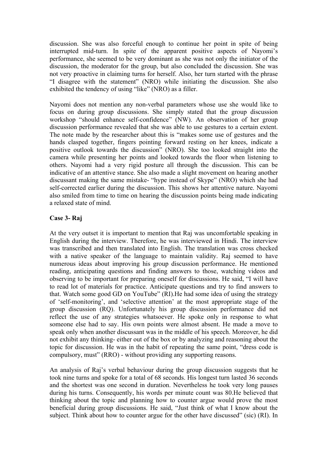discussion. She was also forceful enough to continue her point in spite of being interrupted mid-turn. In spite of the apparent positive aspects of Nayomi's performance, she seemed to be very dominant as she was not only the initiator of the discussion, the moderator for the group, but also concluded the discussion. She was not very proactive in claiming turns for herself. Also, her turn started with the phrase "I disagree with the statement" (NRO) while initiating the discussion. She also exhibited the tendency of using "like" (NRO) as a filler.

Nayomi does not mention any non-verbal parameters whose use she would like to focus on during group discussions. She simply stated that the group discussion workshop "should enhance self-confidence" (NW). An observation of her group discussion performance revealed that she was able to use gestures to a certain extent. The note made by the researcher about this is "makes some use of gestures and the hands clasped together, fingers pointing forward resting on her knees, indicate a positive outlook towards the discussion" (NRO). She too looked straight into the camera while presenting her points and looked towards the floor when listening to others. Nayomi had a very rigid posture all through the discussion. This can be indicative of an attentive stance. She also made a slight movement on hearing another discussant making the same mistake- "hype instead of Skype" (NRO) which she had self-corrected earlier during the discussion. This shows her attentive nature. Nayomi also smiled from time to time on hearing the discussion points being made indicating a relaxed state of mind.

### **Case 3- Raj**

At the very outset it is important to mention that Raj was uncomfortable speaking in English during the interview. Therefore, he was interviewed in Hindi. The interview was transcribed and then translated into English. The translation was cross checked with a native speaker of the language to maintain validity. Raj seemed to have numerous ideas about improving his group discussion performance. He mentioned reading, anticipating questions and finding answers to those, watching videos and observing to be important for preparing oneself for discussions. He said, "I will have to read lot of materials for practice. Anticipate questions and try to find answers to that. Watch some good GD on YouTube" (RI).He had some idea of using the strategy of 'self-monitoring', and 'selective attention' at the most appropriate stage of the group discussion (RQ). Unfortunately his group discussion performance did not reflect the use of any strategies whatsoever. He spoke only in response to what someone else had to say. His own points were almost absent. He made a move to speak only when another discussant was in the middle of his speech. Moreover, he did not exhibit any thinking- either out of the box or by analyzing and reasoning about the topic for discussion. He was in the habit of repeating the same point, "dress code is compulsory, must" (RRO) - without providing any supporting reasons.

An analysis of Raj's verbal behaviour during the group discussion suggests that he took nine turns and spoke for a total of 68 seconds. His longest turn lasted 36 seconds and the shortest was one second in duration. Nevertheless he took very long pauses during his turns. Consequently, his words per minute count was 80.He believed that thinking about the topic and planning how to counter argue would prove the most beneficial during group discussions. He said, "Just think of what I know about the subject. Think about how to counter argue for the other have discussed" (sic) (RI). In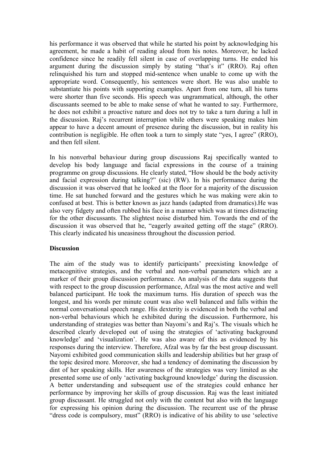his performance it was observed that while he started his point by acknowledging his agreement, he made a habit of reading aloud from his notes. Moreover, he lacked confidence since he readily fell silent in case of overlapping turns. He ended his argument during the discussion simply by stating "that's it" (RRO). Raj often relinquished his turn and stopped mid-sentence when unable to come up with the appropriate word. Consequently, his sentences were short. He was also unable to substantiate his points with supporting examples. Apart from one turn, all his turns were shorter than five seconds. His speech was ungrammatical, although, the other discussants seemed to be able to make sense of what he wanted to say. Furthermore, he does not exhibit a proactive nature and does not try to take a turn during a lull in the discussion. Raj's recurrent interruption while others were speaking makes him appear to have a decent amount of presence during the discussion, but in reality his contribution is negligible. He often took a turn to simply state "yes, I agree" (RRO), and then fell silent.

In his nonverbal behaviour during group discussions Raj specifically wanted to develop his body language and facial expressions in the course of a training programme on group discussions. He clearly stated, "How should be the body activity and facial expression during talking?" (sic) (RW). In his performance during the discussion it was observed that he looked at the floor for a majority of the discussion time. He sat hunched forward and the gestures which he was making were akin to confused at best. This is better known as jazz hands (adapted from dramatics).He was also very fidgety and often rubbed his face in a manner which was at times distracting for the other discussants. The slightest noise disturbed him. Towards the end of the discussion it was observed that he, "eagerly awaited getting off the stage" (RRO). This clearly indicated his uneasiness throughout the discussion period.

### **Discussion**

The aim of the study was to identify participants' preexisting knowledge of metacognitive strategies, and the verbal and non-verbal parameters which are a marker of their group discussion performance. An analysis of the data suggests that with respect to the group discussion performance, Afzal was the most active and well balanced participant. He took the maximum turns. His duration of speech was the longest, and his words per minute count was also well balanced and falls within the normal conversational speech range. His dexterity is evidenced in both the verbal and non-verbal behaviours which he exhibited during the discussion. Furthermore, his understanding of strategies was better than Nayomi's and Raj's. The visuals which he described clearly developed out of using the strategies of 'activating background knowledge' and 'visualization'. He was also aware of this as evidenced by his responses during the interview. Therefore, Afzal was by far the best group discussant. Nayomi exhibited good communication skills and leadership abilities but her grasp of the topic desired more. Moreover, she had a tendency of dominating the discussion by dint of her speaking skills. Her awareness of the strategies was very limited as she presented some use of only 'activating background knowledge' during the discussion. A better understanding and subsequent use of the strategies could enhance her performance by improving her skills of group discussion. Raj was the least initiated group discussant. He struggled not only with the content but also with the language for expressing his opinion during the discussion. The recurrent use of the phrase "dress code is compulsory, must" (RRO) is indicative of his ability to use 'selective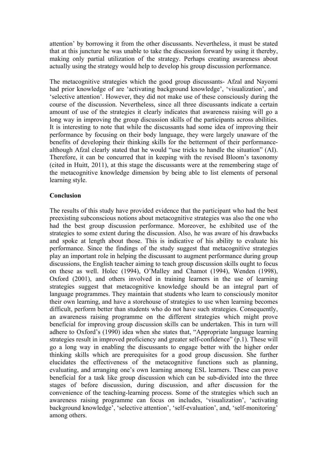attention' by borrowing it from the other discussants. Nevertheless, it must be stated that at this juncture he was unable to take the discussion forward by using it thereby, making only partial utilization of the strategy. Perhaps creating awareness about actually using the strategy would help to develop his group discussion performance.

The metacognitive strategies which the good group discussants- Afzal and Nayomi had prior knowledge of are 'activating background knowledge', 'visualization', and 'selective attention'. However, they did not make use of these consciously during the course of the discussion. Nevertheless, since all three discussants indicate a certain amount of use of the strategies it clearly indicates that awareness raising will go a long way in improving the group discussion skills of the participants across abilities. It is interesting to note that while the discussants had some idea of improving their performance by focusing on their body language, they were largely unaware of the benefits of developing their thinking skills for the betterment of their performancealthough Afzal clearly stated that he would "use tricks to handle the situation" (AI). Therefore, it can be concurred that in keeping with the revised Bloom's taxonomy (cited in Huitt, 2011), at this stage the discussants were at the remembering stage of the metacognitive knowledge dimension by being able to list elements of personal learning style.

### **Conclusion**

The results of this study have provided evidence that the participant who had the best preexisting subconscious notions about metacognitive strategies was also the one who had the best group discussion performance. Moreover, he exhibited use of the strategies to some extent during the discussion. Also, he was aware of his drawbacks and spoke at length about those. This is indicative of his ability to evaluate his performance. Since the findings of the study suggest that metacognitive strategies play an important role in helping the discussant to augment performance during group discussions, the English teacher aiming to teach group discussion skills ought to focus on these as well. Holec (1994), O'Malley and Chamot (1994), Wenden (1998), Oxford (2001), and others involved in training learners in the use of learning strategies suggest that metacognitive knowledge should be an integral part of language programmes. They maintain that students who learn to consciously monitor their own learning, and have a storehouse of strategies to use when learning becomes difficult, perform better than students who do not have such strategies. Consequently, an awareness raising programme on the different strategies which might prove beneficial for improving group discussion skills can be undertaken. This in turn will adhere to Oxford's (1990) idea when she states that, "Appropriate language learning strategies result in improved proficiency and greater self-confidence" (p.1). These will go a long way in enabling the discussants to engage better with the higher order thinking skills which are prerequisites for a good group discussion. She further elucidates the effectiveness of the metacognitive functions such as planning, evaluating, and arranging one's own learning among ESL learners. These can prove beneficial for a task like group discussion which can be sub-divided into the three stages of before discussion, during discussion, and after discussion for the convenience of the teaching-learning process. Some of the strategies which such an awareness raising programme can focus on includes, 'visualization', 'activating background knowledge', 'selective attention', 'self-evaluation', and, 'self-monitoring' among others.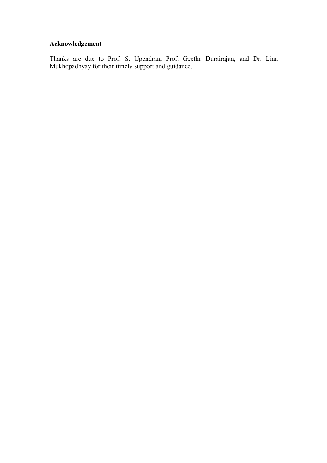# **Acknowledgement**

Thanks are due to Prof. S. Upendran, Prof. Geetha Durairajan, and Dr. Lina Mukhopadhyay for their timely support and guidance.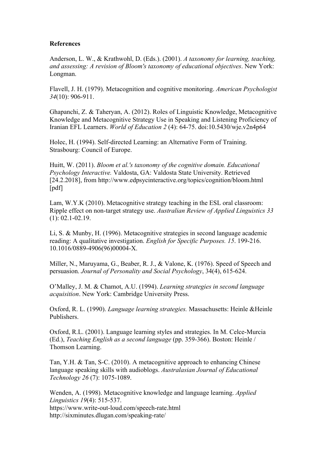### **References**

Anderson, L. W., & Krathwohl, D. (Eds.). (2001). *A taxonomy for learning, teaching, and assessing: A revision of Bloom's taxonomy of educational objectives*. New York: Longman.

Flavell, J. H. (1979). Metacognition and cognitive monitoring. *American Psychologist 34*(10): 906-911.

Ghapanchi, Z. & Taheryan, A. (2012). Roles of Linguistic Knowledge, Metacognitive Knowledge and Metacognitive Strategy Use in Speaking and Listening Proficiency of Iranian EFL Learners. *World of Education 2* (4): 64-75. doi:10.5430/wje.v2n4p64

Holec, H. (1994). Self-directed Learning: an Alternative Form of Training. Strasbourg: Council of Europe.

Huitt, W. (2011). *Bloom et al.'s taxonomy of the cognitive domain. Educational Psychology Interactive.* Valdosta, GA: Valdosta State University. Retrieved [24.2.2018], from http://www.edpsycinteractive.org/topics/cognition/bloom.html [pdf]

Lam, W.Y.K (2010). Metacognitive strategy teaching in the ESL oral classroom: Ripple effect on non-target strategy use. *Australian Review of Applied Linguistics 33* (1): 02.1-02.19.

Li, S. & Munby, H. (1996). Metacognitive strategies in second language academic reading: A qualitative investigation. *English for Specific Purposes. 15*. 199-216. 10.1016/0889-4906(96)00004-X.

Miller, N., Maruyama, G., Beaber, R. J., & Valone, K. (1976). Speed of Speech and persuasion. *Journal of Personality and Social Psychology*, 34(4), 615-624.

O'Malley, J. M. & Chamot, A.U. (1994). *Learning strategies in second language acquisition*. New York: Cambridge University Press.

Oxford, R. L. (1990). *Language learning strategies.* Massachusetts: Heinle &Heinle Publishers.

Oxford, R.L. (2001). Language learning styles and strategies. In M. Celce-Murcia (Ed.), *Teaching English as a second language* (pp. 359-366). Boston: Heinle / Thomson Learning.

Tan, Y.H. & Tan, S-C. (2010). A metacognitive approach to enhancing Chinese language speaking skills with audioblogs. *Australasian Journal of Educational Technology 26* (7): 1075-1089.

Wenden, A. (1998). Metacognitive knowledge and language learning. *Applied Linguistics 19*(4): 515-537. https://www.write-out-loud.com/speech-rate.html http://sixminutes.dlugan.com/speaking-rate/